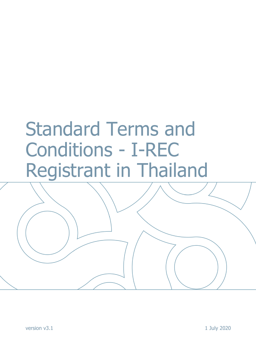# Standard Terms and Conditions - I-REC Registrant in Thailand

version v3.1 1 July 2020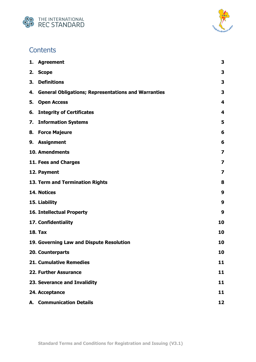



# **Contents**

<span id="page-1-0"></span>

| 1. | <b>Agreement</b>                                           | 3                       |
|----|------------------------------------------------------------|-------------------------|
| 2. | <b>Scope</b>                                               | 3                       |
| 3. | <b>Definitions</b>                                         | 3                       |
| 4. | <b>General Obligations; Representations and Warranties</b> | 3                       |
| 5. | <b>Open Access</b>                                         | 4                       |
| 6. | <b>Integrity of Certificates</b>                           | 4                       |
| 7. | <b>Information Systems</b>                                 | 5                       |
| 8. | <b>Force Majeure</b>                                       | 6                       |
|    | 9. Assignment                                              | 6                       |
|    | 10. Amendments                                             | $\overline{\mathbf{z}}$ |
|    | 11. Fees and Charges                                       | $\overline{\mathbf{z}}$ |
|    | 12. Payment                                                | 7                       |
|    | 13. Term and Termination Rights                            | 8                       |
|    | 14. Notices                                                | 9                       |
|    | 15. Liability                                              | 9                       |
|    | <b>16. Intellectual Property</b>                           | 9                       |
|    | 17. Confidentiality                                        | 10                      |
|    | <b>18. Tax</b>                                             | 10                      |
|    | 19. Governing Law and Dispute Resolution                   | 10                      |
|    | 20. Counterparts                                           | 10                      |
|    | <b>21. Cumulative Remedies</b>                             | 11                      |
|    | 22. Further Assurance                                      | 11                      |
|    | 23. Severance and Invalidity                               | 11                      |
|    | 24. Acceptance                                             | 11                      |
|    | <b>A. Communication Details</b>                            | 12                      |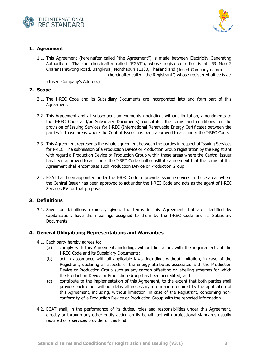



# **1. Agreement**

1.1. This Agreement (hereinafter called "the Agreement") is made between Electricity Generating Authority of Thailand (hereinafter called "EGAT"), whose registered office is at: 53 Moo 2 Charansanitwong Road, Bangkruai, Nonthaburi 11130, Thailand and (Insert Company name) (hereinafter called "the Registrant") whose registered office is at:

(Insert Company's Address)

#### <span id="page-2-0"></span>**2. Scope**

- 2.1. The I-REC Code and its Subsidiary Documents are incorporated into and form part of this Agreement.
- 2.2. This Agreement and all subsequent amendments (including, without limitation, amendments to the I-REC Code and/or Subsidiary Documents) constitutes the terms and conditions for the provision of Issuing Services for I-REC (International Renewable Energy Certificate) between the parties in those areas where the Central Issuer has been approved to act under the I-REC Code.
- 2.3. This Agreement represents the whole agreement between the parties in respect of Issuing Services for I-REC. The submission of a Production Device or Production Group registration by the Registrant with regard a Production Device or Production Group within those areas where the Central Issuer has been approved to act under the I-REC Code shall constitute agreement that the terms of this Agreement shall encompass such Production Device or Production Group.
- 2.4. EGAT has been appointed under the I-REC Code to provide Issuing services in those areas where the Central Issuer has been approved to act under the I-REC Code and acts as the agent of I-REC Services BV for that purpose.

# <span id="page-2-1"></span>**3. Definitions**

3.1. Save for definitions expressly given, the terms in this Agreement that are identified by capitalisation, have the meanings assigned to them by the I-REC Code and its Subsidiary Documents.

# <span id="page-2-2"></span>**4. General Obligations; Representations and Warranties**

- 4.1. Each party hereby agrees to:
	- (a) comply with this Agreement, including, without limitation, with the requirements of the I-REC Code and its Subsidiary Documents;
	- (b) act in accordance with all applicable laws, including, without limitation, in case of the Registrant, declaring all aspects of the energy attributes associated with the Production Device or Production Group such as any carbon offsetting or labelling schemes for which the Production Device or Production Group has been accredited; and
	- (c) contribute to the implementation of this Agreement, to the extent that both parties shall provide each other without delay all necessary information required by the application of this Agreement, including, without limitation, in case of the Registrant, concerning nonconformity of a Production Device or Production Group with the reported information.
- 4.2. EGAT shall, in the performance of its duties, roles and responsibilities under this Agreement, directly or through any other entity acting on its behalf, act with professional standards usually required of a services provider of this kind.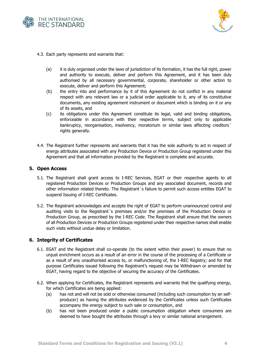



- 4.3. Each party represents and warrants that:
	- (a) it is duly organised under the laws of jurisdiction of its formation, it has the full right, power and authority to execute, deliver and perform this Agreement, and it has been duly authorised by all necessary governmental, corporate, shareholder or other action to execute, deliver and perform this Agreement;
	- (b) the entry into and performance by it of this Agreement do not conflict in any material respect with any relevant law or a judicial order applicable to it, any of its constitutive documents, any existing agreement instrument or document which is binding on it or any of its assets, and
	- (c) its obligations under this Agreement constitute its legal, valid and binding obligations, enforceable in accordance with their respective terms, subject only to applicable bankruptcy, reorganisation, insolvency, moratorium or similar laws affecting creditors<sup>'</sup> rights generally.
- 4.4. The Registrant further represents and warrants that it has the sole authority to act in respect of energy attributes associated with any Production Device or Production Group registered under this Agreement and that all information provided by the Registrant is complete and accurate.

#### <span id="page-3-0"></span>**5. Open Access**

- 5.1. The Registrant shall grant access to I-REC Services, EGAT or their respective agents to all registered Production Devices or Production Groups and any associated document, records and other information related thereto. The Registrant´s failure to permit such access entitles EGAT to suspend Issuing of I-REC Certificates.
- 5.2. The Registrant acknowledges and accepts the right of EGAT to perform unannounced control and auditing visits to the Registrant´s premises and/or the premises of the Production Device or Production Group, as prescribed by the I-REC Code. The Registrant shall ensure that the owners of all Production Devices or Production Groups registered under their respective names shall enable such visits without undue delay or limitation.

# <span id="page-3-1"></span>**6. Integrity of Certificates**

- 6.1. EGAT and the Registrant shall co-operate (to the extent within their power) to ensure that no unjust enrichment occurs as a result of an error in the course of the processing of a Certificate or as a result of any unauthorised access to, or malfunctioning of, the I-REC Registry; and for that purpose Certificates issued following the Registrant's request may be Withdrawn or amended by EGAT, having regard to the objective of securing the accuracy of the Certificates.
- 6.2. When applying for Certificates, the Registrant represents and warrants that the qualifying energy, for which Certificates are being applied:
	- (a) has not and will not be sold or otherwise consumed (including such consumption by an selfproducer) as having the attributes evidenced by the Certificates unless such Certificates accompany the energy subject to such sale or consumption, and
	- (b) has not been produced under a public consumption obligation where consumers are deemed to have bought the attributes through a levy or similar national arrangement.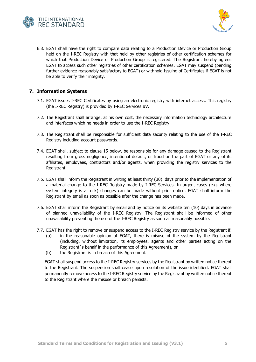



6.3. EGAT shall have the right to compare data relating to a Production Device or Production Group held on the I-REC Registry with that held by other registries of other certification schemes for which that Production Device or Production Group is registered. The Registrant hereby agrees EGAT to access such other registries of other certification schemes. EGAT may suspend (pending further evidence reasonably satisfactory to EGAT) or withhold Issuing of Certificates if EGAT is not be able to verify their integrity.

# <span id="page-4-0"></span>**7. Information Systems**

- 7.1. EGAT issues I-REC Certificates by using an electronic registry with internet access. This registry (the I-REC Registry) is provided by I-REC Services BV.
- 7.2. The Registrant shall arrange, at his own cost, the necessary information technology architecture and interfaces which he needs in order to use the I-REC Registry.
- 7.3. The Registrant shall be responsible for sufficient data security relating to the use of the I-REC Registry including account passwords.
- 7.4. EGAT shall, subject to clause [15](#page-8-1) below, be responsible for any damage caused to the Registrant resulting from gross negligence, intentional default, or fraud on the part of EGAT or any of its affiliates, employees, contractors and/or agents, when providing the registry services to the Registrant.
- 7.5. EGAT shall inform the Registrant in writing at least thirty (30) days prior to the implementation of a material change to the I-REC Registry made by I-REC Services. In urgent cases (e.g. where system integrity is at risk) changes can be made without prior notice. EGAT shall inform the Registrant by email as soon as possible after the change has been made.
- 7.6. EGAT shall inform the Registrant by email and by notice on its website ten (10) days in advance of planned unavailability of the I-REC Registry. The Registrant shall be informed of other unavailability preventing the use of the I-REC Registry as soon as reasonably possible.
- 7.7. EGAT has the right to remove or suspend access to the I-REC Registry service by the Registrant if:
	- (a) in the reasonable opinion of EGAT, there is misuse of the system by the Registrant (including, without limitation, its employees, agents and other parties acting on the Registrant´s behalf in the performance of this Agreement), or
	- (b) the Registrant is in breach of this Agreement.

EGAT shall suspend access to the I-REC Registry services by the Registrant by written notice thereof to the Registrant. The suspension shall cease upon resolution of the issue identified. EGAT shall permanently remove access to the I-REC Registry service by the Registrant by written notice thereof to the Registrant where the misuse or breach persists.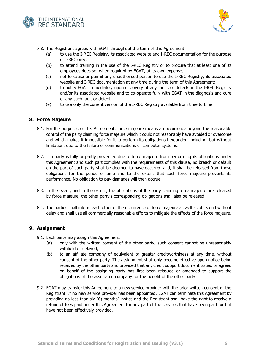



7.8. The Registrant agrees with EGAT throughout the term of this Agreement:

- (a) to use the I-REC Registry, its associated website and I-REC documentation for the purpose of I-REC only;
- (b) to attend training in the use of the I-REC Registry or to procure that at least one of its employees does so; when required by EGAT, at its own expense;
- (c) not to cause or permit any unauthorised person to use the I-REC Registry, its associated website and I-REC documentation at any time during the term of this Agreement;
- (d) to notify EGAT immediately upon discovery of any faults or defects in the I-REC Registry and/or its associated website and to co-operate fully with EGAT in the diagnosis and cure of any such fault or defect;
- (e) to use only the current version of the I-REC Registry available from time to time.

# <span id="page-5-0"></span>**8. Force Majeure**

- 8.1. For the purposes of this Agreement, force majeure means an occurrence beyond the reasonable control of the party claiming force majeure which it could not reasonably have avoided or overcome and which makes it impossible for it to perform its obligations hereunder, including, but without limitation, due to the failure of communications or computer systems.
- 8.2. If a party is fully or partly prevented due to force majeure from performing its obligations under this Agreement and such part complies with the requirements of this clause, no breach or default on the part of such party shall be deemed to have occurred and, it shall be released from those obligations for the period of time and to the extent that such force majeure prevents its performance. No obligation to pay damages will then accrue.
- 8.3. In the event, and to the extent, the obligations of the party claiming force majeure are released by force majeure, the other party's corresponding obligations shall also be released.
- 8.4. The parties shall inform each other of the occurrence of force majeure as well as of its end without delay and shall use all commercially reasonable efforts to mitigate the effects of the force majeure.

# <span id="page-5-1"></span>**9. Assignment**

- 9.1. Each party may assign this Agreement:
	- (a) only with the written consent of the other party, such consent cannot be unreasonably withheld or delayed;
	- (b) to an affiliate company of equivalent or greater creditworthiness at any time, without consent of the other party. The assignment shall only become effective upon notice being received by the other party and provided that any credit support document issued or agreed on behalf of the assigning party has first been reissued or amended to support the obligations of the associated company for the benefit of the other party.
- 9.2. EGAT may transfer this Agreement to a new service provider with the prior written consent of the Registrant. If no new service provider has been appointed, EGAT can terminate this Agreement by providing no less than six (6) months´ notice and the Registrant shall have the right to receive a refund of fees paid under this Agreement for any part of the services that have been paid for but have not been effectively provided.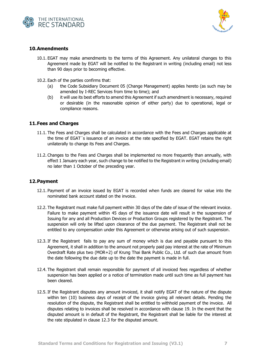



# <span id="page-6-0"></span>**10.Amendments**

- 10.1. EGAT may make amendments to the terms of this Agreement. Any unilateral changes to this Agreement made by EGAT will be notified to the Registrant in writing (including email) not less than 90 days prior to becoming effective.
- 10.2. Each of the parties confirms that:
	- (a) the Code Subsidiary Document 05 (Change Management) applies hereto (as such may be amended by I-REC Services from time to time); and
	- (b) it will use its best efforts to amend this Agreement if such amendment is necessary, required or desirable (in the reasonable opinion of either party) due to operational, legal or compliance reasons.

# <span id="page-6-1"></span>**11.Fees and Charges**

- 11.1. The Fees and Charges shall be calculated in accordance with the Fees and Charges applicable at the time of EGAT´s issuance of an invoice at the rate specified by EGAT. EGAT retains the right unilaterally to change its Fees and Charges.
- 11.2. Changes to the Fees and Charges shall be implemented no more frequently than annually, with effect 1 January each year, such change to be notified to the Registrant in writing (including email) no later than 1 October of the preceding year.

# <span id="page-6-2"></span>**12.Payment**

- 12.1. Payment of an invoice issued by EGAT is recorded when funds are cleared for value into the nominated bank account stated on the invoice.
- 12.2. The Registrant must make full payment within 30 days of the date of issue of the relevant invoice. Failure to make payment within 45 days of the issuance date will result in the suspension of Issuing for any and all Production Devices or Production Groups registered by the Registrant. The suspension will only be lifted upon clearance of the due payment. The Registrant shall not be entitled to any compensation under this Agreement or otherwise arising out of such suspension.
- 12.3. If the Registrant fails to pay any sum of money which is due and payable pursuant to this Agreement, it shall in addition to the amount not properly paid pay interest at the rate of Minimum Overdraft Rate plus two (MOR+2) of Krung Thai Bank Public Co., Ltd. of such due amount from the date following the due date up to the date the payment is made in full.
- 12.4. The Registrant shall remain responsible for payment of all invoiced fees regardless of whether suspension has been applied or a notice of termination made until such time as full payment has been cleared.
- 12.5. If the Registrant disputes any amount invoiced, it shall notify EGAT of the nature of the dispute within ten (10) business days of receipt of the invoice giving all relevant details. Pending the resolution of the dispute, the Registrant shall be entitled to withhold payment of the invoice. All disputes relating to invoices shall be resolved in accordance with clause [19](#page-9-2). In the event that the disputed amount is in default of the Registrant, the Registrant shall be liable for the interest at the rate stipulated in clause 12.3 for the disputed amount.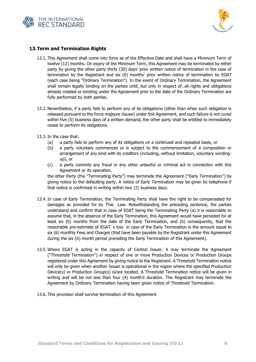



# <span id="page-7-0"></span>**13.Term and Termination Rights**

- 13.1. This Agreement shall come into force as of the Effective Date and shall have a Minimum Term of twelve (12) months. On expiry of the Minimum Term, this Agreement may be terminated by either party by giving the other party thirty (30) days' prior written notice of termination in the case of termination by the Registrant and six (6) months' prior written notice of termination by EGAT (each case being "Ordinary Termination"). In the event of Ordinary Termination, the Agreement shall remain legally binding on the parties until, but only in respect of, all rights and obligations already created or existing under the Agreement prior to the date of the Ordinary Termination are fully performed by both parties.
- 13.2. Nevertheless, if a party fails to perform any of its obligations (other than when such obligation is released pursuant to the force majeure clause) under this Agreement, and such failure is not cured within five (5) business days of a written demand, the other party shall be entitled to immediately cease to perform its obligations.
- 13.3. In the case that:
	- (a) a party fails to perform any of its obligations on a continued and repeated basis, or
	- (b) a party voluntary commences or is subject to the commencement of a composition or arrangement of any kind with its creditors (including, without limitation, voluntary windingup), or
	- (c) a party commits any fraud or any other unlawful or criminal act in connection with this Agreement or its operation,

the other Party (the "Terminating Party") may terminate the Agreement ("Early Termination") by giving notice to the defaulting party. A notice of Early Termination may be given by telephone if that notice is confirmed in writing within two (2) business days.

- 13.4. In case of Early Termination, the Terminating Party shall have the right to be compensated for damages as provided for by Thai Law. Notwithstanding the preceding sentence, the parties understand and confirm that in case of EGAT being the Terminating Party (a) it is reasonable to assume that, in the absence of the Early Termination, this Agreement would have persisted for at least six (6) months from the date of the Early Termination, and (b) consequently, that the reasonable pre-estimate of EGAT´s loss in case of the Early Termination is the amount equal to six (6) monthly Fees and Charges (that have been payable by the Registrant under this Agreement during the six (6) month period preceding the Early Termination of this Agreement).
- 13.5. Where EGAT is acting in the capacity of Central Issuer, it may terminate the Agreement ("Threshold Termination") in respect of one or more Production Devices or Production Groups registered under this Agreement by giving notice to the Registrant. A Threshold Termination notice will only be given when another Issuer is operational in the region where the specified Production Device(s) or Production Group(s) is/are located. A Threshold Termination notice will be given in writing and will be not less than four (4) month's duration. The Registrant may terminate the Agreement by Ordinary Termination having been given notice of Threshold Termination.
- 13.6. This provision shall survive termination of this Agreement.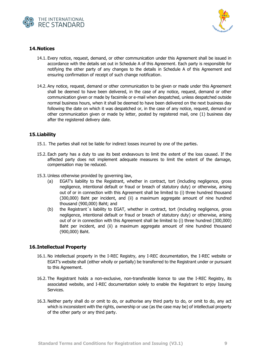



# <span id="page-8-0"></span>**14.Notices**

- 14.1. Every notice, request, demand, or other communication under this Agreement shall be issued in accordance with the details set out in Schedule A of this Agreement. Each party is responsible for notifying the other party of any changes to the details in Schedule A of this Agreement and ensuring confirmation of receipt of such change notification.
- 14.2. Any notice, request, demand or other communication to be given or made under this Agreement shall be deemed to have been delivered, in the case of any notice, request, demand or other communication given or made by facsimile or e-mail when despatched, unless despatched outside normal business hours, when it shall be deemed to have been delivered on the next business day following the date on which it was despatched or, in the case of any notice, request, demand or other communication given or made by letter, posted by registered mail, one (1) business day after the registered delivery date.

# <span id="page-8-1"></span>**15.Liability**

- 15.1. The parties shall not be liable for indirect losses incurred by one of the parties.
- 15.2. Each party has a duty to use its best endeavours to limit the extent of the loss caused. If the affected party does not implement adequate measures to limit the extent of the damage, compensation may be reduced.
- 15.3. Unless otherwise provided by governing law,
	- (a) EGAT's liability to the Registrant, whether in contract, tort (including negligence, gross negligence, intentional default or fraud or breach of statutory duty) or otherwise, arising out of or in connection with this Agreement shall be limited to (i) three hundred thousand (300,000) Baht per incident, and (ii) a maximum aggregate amount of nine hundred thousand (900,000) Baht; and
	- (b) the Registrant´s liability to EGAT, whether in contract, tort (including negligence, gross negligence, intentional default or fraud or breach of statutory duty) or otherwise, arising out of or in connection with this Agreement shall be limited to (i) three hundred (300,000) Baht per incident, and (ii) a maximum aggregate amount of nine hundred thousand (900,000) Baht.

# <span id="page-8-2"></span>**16.Intellectual Property**

- 16.1. No intellectual property in the I-REC Registry, any I-REC documentation, the I-REC website or EGAT's website shall (either wholly or partially) be transferred to the Registrant under or pursuant to this Agreement.
- 16.2. The Registrant holds a non-exclusive, non-transferable licence to use the I-REC Registry, its associated website, and I-REC documentation solely to enable the Registrant to enjoy Issuing Services.
- 16.3. Neither party shall do or omit to do, or authorise any third party to do, or omit to do, any act which is inconsistent with the rights, ownership or use (as the case may be) of intellectual property of the other party or any third party.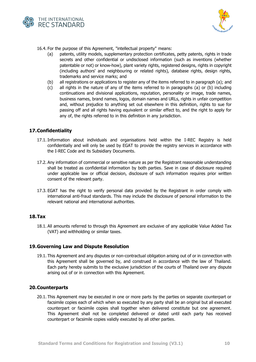



16.4. For the purpose of this Agreement, "intellectual property" means:

- (a) patents, utility models, supplementary protection certificates, petty patents, rights in trade secrets and other confidential or undisclosed information (such as inventions (whether patentable or not) or know-how), plant variety rights, registered designs, rights in copyright (including authors' and neighbouring or related rights), database rights, design rights, trademarks and service marks; and
- (b) all registrations or applications to register any of the items referred to in paragraph (a); and
- (c) all rights in the nature of any of the items referred to in paragraphs (a) or (b) including continuations and divisional applications, reputation, personality or image, trade names, business names, brand names, logos, domain names and URLs, rights in unfair competition and, without prejudice to anything set out elsewhere in this definition, rights to sue for passing off and all rights having equivalent or similar effect to, and the right to apply for any of, the rights referred to in this definition in any jurisdiction.

# <span id="page-9-0"></span>**17.Confidentiality**

- 17.1. Information about individuals and organisations held within the I-REC Registry is held confidentially and will only be used by EGAT to provide the registry services in accordance with the I-REC Code and its Subsidiary Documents.
- 17.2. Any information of commercial or sensitive nature as per the Registrant reasonable understanding shall be treated as confidential information by both parties. Save in case of disclosure required under applicable law or official decision, disclosure of such information requires prior written consent of the relevant party.
- 17.3. EGAT has the right to verify personal data provided by the Registrant in order comply with international anti-fraud standards. This may include the disclosure of personal information to the relevant national and international authorities.

# <span id="page-9-1"></span>**18.Tax**

18.1. All amounts referred to through this Agreement are exclusive of any applicable Value Added Tax (VAT) and withholding or similar taxes.

#### <span id="page-9-2"></span>**19.Governing Law and Dispute Resolution**

19.1. This Agreement and any disputes or non-contractual obligation arising out of or in connection with this Agreement shall be governed by, and construed in accordance with the law of Thailand. Each party hereby submits to the exclusive jurisdiction of the courts of Thailand over any dispute arising out of or in connection with this Agreement.

#### <span id="page-9-3"></span>**20.Counterparts**

20.1. This Agreement may be executed in one or more parts by the parties on separate counterpart or facsimile copies each of which when so executed by any party shall be an original but all executed counterpart or facsimile copies shall together when delivered constitute but one agreement. This Agreement shall not be completed delivered or dated until each party has received counterpart or facsimile copies validly executed by all other parties.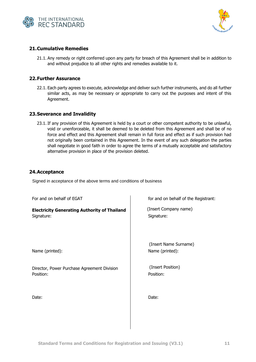



# <span id="page-10-0"></span>**21.Cumulative Remedies**

21.1. Any remedy or right conferred upon any party for breach of this Agreement shall be in addition to and without prejudice to all other rights and remedies available to it.

#### <span id="page-10-1"></span>**22.Further Assurance**

22.1. Each party agrees to execute, acknowledge and deliver such further instruments, and do all further similar acts, as may be necessary or appropriate to carry out the purposes and intent of this Agreement.

# <span id="page-10-2"></span>**23.Severance and Invalidity**

23.1. If any provision of this Agreement is held by a court or other competent authority to be unlawful, void or unenforceable, it shall be deemed to be deleted from this Agreement and shall be of no force and effect and this Agreement shall remain in full force and effect as if such provision had not originally been contained in this Agreement. In the event of any such delegation the parties shall negotiate in good faith in order to agree the terms of a mutually acceptable and satisfactory alternative provision in place of the provision deleted.

#### <span id="page-10-3"></span>**24.Acceptance**

Signed in acceptance of the above terms and conditions of business

| For and on behalf of EGAT                                         | for and on behalf of the Registrant:     |
|-------------------------------------------------------------------|------------------------------------------|
| <b>Electricity Generating Authority of Thailand</b><br>Signature: | (Insert Company name)<br>Signature:      |
| Name (printed):                                                   | (Insert Name Surname)<br>Name (printed): |
| Director, Power Purchase Agreement Division<br>Position:          | (Insert Position)<br>Position:           |
| Date:                                                             | Date:                                    |